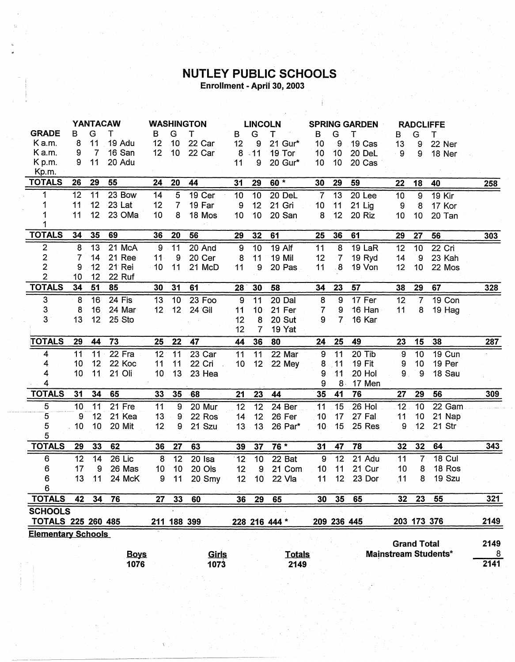## **NUTLEY PUBLIC SCHOOLS**<br>Enrollment - April 30, 2003

|                           |                  | <b>YANTACAW</b>  |             |                 |                  | <b>WASHINGTON</b> |                 | <b>LINCOLN</b>  |               | <b>SPRING GARDEN</b> |                 |               |                | <b>RADCLIFFE</b>   |                             |            |
|---------------------------|------------------|------------------|-------------|-----------------|------------------|-------------------|-----------------|-----------------|---------------|----------------------|-----------------|---------------|----------------|--------------------|-----------------------------|------------|
| <b>GRADE</b>              | в                | G                | т           | в               | G                | т                 | B               | G               | т             | B                    | G               | т             | В              | G                  | т                           |            |
| Ka.m.                     | 8                | 11               | 19 Adu      | 12              | 10               | 22 Car            | 12              | 9               | 21 Gur*       | 10                   | -9              | 19 Cas        | 13             | 9                  | 22 Ner                      |            |
| K a.m.                    | 9                | $\overline{7}$   | 16 San      | 12              | 10 <sup>°</sup>  | 22 Car            | 8               | $-11$           | 19 Tor        | 10                   | 10              | 20 DeL        | - 9            | 9                  | 18 Ner                      |            |
| K p.m.                    | 9                | 11               | 20 Adu      |                 |                  |                   | 11              | 9               | 20 Gur*       | 10                   | 10 <sup>°</sup> | 20 Cas        |                |                    |                             |            |
| Kp.m.                     |                  |                  |             |                 |                  |                   |                 |                 |               |                      |                 |               |                |                    |                             |            |
| <b>TOTALS</b>             | 26               | 29               | 55          | 24              | 20               | 44                | 31              | 29              | $60*$         | 30                   | 29              | 59            | 22             | 18                 | 40                          | <b>258</b> |
| 1                         | 12               | 11               | 23 Bow      | 14              | $\overline{5}$   | 19 Cer            | 10              | 10              | 20 DeL        | $\overline{7}$       | 13              | 20 Lee        | 10             | $\overline{9}$     | <b>19 Kir</b>               |            |
|                           | 11               | 12 <sup>12</sup> | 23 Lat      | 12              | $\overline{7}$   | 19 Far            | 9               | 12              | 21 Gri        | 10                   | 11              | 21 Lig        | $\overline{9}$ | 8                  | 17 Kor                      |            |
|                           | 11               | 12 <sub>2</sub>  | 23 OMa      | 10              | 8                | 18 Mos            | 10              | 10              | 20 San        | 8                    | 12              | 20 Riz        | 10             | 10 <sub>1</sub>    | 20 Tan                      |            |
|                           |                  |                  |             |                 |                  |                   |                 |                 |               |                      |                 |               |                |                    |                             |            |
| <b>TOTALS</b>             | 34               | 35               | 69          | 36              | 20               | 56                | 29              | 32              | 61            | 25                   | 36              | 61            | 29             | 27                 | 56                          | 303        |
| $\overline{2}$            | $\boldsymbol{8}$ | 13               | 21 McA      | 9               | 11               | 20 And            | $\overline{9}$  | 10              | 19 Alf        | 11                   | 8               | 19 LaR        | 12             | $\overline{10}$    | 22 Cri                      |            |
| 2                         | 7                | 14               | 21 Ree      | 11              | 9                | 20 Cer            | 8               | 11              | 19 Mil        | 12                   | $\overline{7}$  | 19 Ryd        | 14             | 9                  | 23 Kah                      |            |
| $\overline{2}$            | 9                | 12               | 21 Rei      | 10              | 11               | 21 McD            | 11              | 9               | 20 Pas        | 11                   | $8 \,$          | 19 Von        | 12             | 10                 | 22 Mos                      |            |
| $\overline{2}$            | 10               | 12               | 22 Ruf      |                 |                  |                   |                 |                 |               |                      |                 |               |                |                    |                             |            |
| <b>TOTALS</b>             | 34               | 51               | 85          | 30              | 31               | 61                | 28 <sup>°</sup> | 30              | 58            | 34                   | 23              | 57            | 38             | 29                 | 67                          | 328        |
| 3                         | 8                | 16               | 24 Fis      | 13              | 10               | 23 Foo            | 9               | $\overline{11}$ | 20 Dal        | $\overline{8}$       | $\overline{9}$  | 17 Fer        | 12             | $\overline{7}$     | 19 Con                      |            |
| 3                         | 8                | 16               | 24 Mar      | 12 <sub>2</sub> | 12               | 24 Gil            | 11              | 10              | 21 Fer        | $\overline{7}$       | 9               | 16 Han        | 11             | 8                  | 19 Hag                      |            |
| 3.                        | 13               | 12               | 25 Sto      |                 |                  |                   | 12              | 8               | 20 Sut        | 9                    | $\overline{7}$  | 16 Kar        |                |                    |                             |            |
|                           |                  |                  |             |                 |                  |                   | 12              | $\overline{7}$  | 19 Yat        |                      |                 |               |                |                    |                             |            |
| <b>TOTALS</b>             | 29               | 44               | 73          | 25              | 22               | 47                | 44              | 36              | 80            | 24                   | 25              | 49            | 23             | 15                 | 38                          | 287        |
| 4                         | 11               | 11               | 22 Fra      | 12              | 11               | 23 Car            | 11              | 11              | 22 Mar        | 9                    | 11              | 20 Tib        | 9              | 10                 | 19 Cun                      |            |
| 4                         | 10               | 12 <sub>2</sub>  | 22 Koc      | 11              | 11               | 22 Cri            | 10              | 12 <sup>2</sup> | 22 Mey        | 8                    | 11              | <b>19 Fit</b> | 9              | 10                 | 19 Per                      |            |
| 4                         | 10               | 11               | 21 Oli      | 10              | 13               | 23 Hea            |                 |                 |               | 9                    | 11              | 20 Hol        | 9 <sub>1</sub> | 9                  | 18 Sau                      |            |
| 4                         |                  |                  |             |                 |                  |                   |                 |                 |               | 9                    | 8.              | 17 Men        |                |                    |                             |            |
| <b>TOTALS</b>             | 31               | 34               | 65          | 33              | 35               | $-68$             | 21              | 23              | 44            | 35                   | 41              | 76            | 27             | 29                 | 56                          | 309        |
| $\overline{5}$            | 10               | $\overline{11}$  | 21 Fre      | 11              | 9                | 20 Mur            | $\overline{12}$ | $\overline{12}$ | 24 Ber        | 11                   | 15              | 26 Hol        | 12             | 10                 | 22 Gam                      |            |
| $\overline{5}$            | 9                | 12               | 21 Kea      | 13              | $\boldsymbol{9}$ | 22 Ros            | 14              | 12              | 26 Fer        | 10                   | 17              | 27 Fal        | 11             | 10                 | 21 Nap                      |            |
| 5                         | 10               | 10               | 20 Mit      | 12              | 9                | 21 Szu            | 13              | 13              | 26 Par*       | 10 <sub>1</sub>      | 15              | 25 Res        | 9              | 12                 | 21 Str                      |            |
| 5                         |                  |                  |             |                 |                  |                   |                 |                 |               |                      |                 |               |                |                    |                             |            |
| <b>TOTALS</b>             | 29               | 33               | 62          | 36              | 27               | 63                | 39              | 37              | $76 *$        | 31                   | 47              | 78            | 32             | 32                 | 64                          | 343        |
| 6                         | 12               | 14               | 26 Lic      | 8               | 12               | $20$ Isa          | 12              | 10              | 22 Bat        | 9                    | 12              | 21 Adu        | 11             | $\overline{7}$     | $18$ Cul                    |            |
| 6                         | 17               | 9                | 26 Mas      | 10              | 10               | 20 Ols            | 12              | 9               | 21 Com        | 10                   | 11              | 21 Cur        | 10             | 8                  | 18 Ros                      |            |
| 6                         | 13               | 11               | 24 McK      | 9               | 11               | 20 Smy            | 12              | 10 <sup>1</sup> | 22 Vla        | 11                   | 12              | 23 Dor        | 11             | 8                  | 19 Szu                      |            |
| 6.                        |                  |                  |             |                 |                  |                   |                 |                 |               |                      |                 |               |                |                    |                             |            |
| <b>TOTALS</b>             | 42               | 34               | 76          | 27              | 33               | 60                | 36              | 29              | 65            | 30                   | 35              | 65            | 32             | 23                 | 55                          | 321        |
| <b>SCHOOLS</b>            |                  |                  |             |                 |                  |                   |                 |                 |               |                      |                 |               |                |                    |                             |            |
| <b>TOTALS 225 260 485</b> |                  |                  |             |                 |                  | 211 188 399       |                 |                 | 228 216 444 * |                      | 209 236 445     |               |                |                    | 203 173 376                 | 2149       |
| <b>Elementary Schools</b> |                  |                  |             |                 |                  |                   |                 |                 |               |                      |                 |               |                |                    |                             |            |
|                           |                  |                  |             |                 |                  |                   |                 |                 |               |                      |                 |               |                | <b>Grand Total</b> |                             | 2149       |
|                           |                  |                  | <b>Boys</b> |                 |                  | Girls             |                 |                 | <b>Totals</b> |                      |                 |               |                |                    | <b>Mainstream Students*</b> | 8          |
|                           |                  |                  | 1076        |                 |                  | 1073              |                 |                 | 2149          |                      |                 |               |                |                    |                             | 2141       |